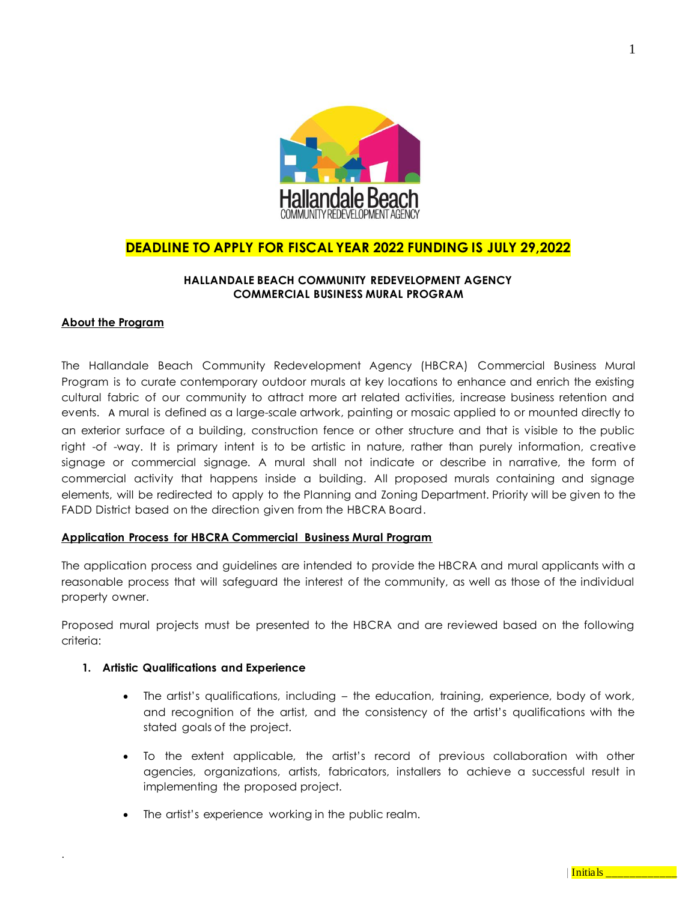

# **DEADLINE TO APPLY FOR FISCAL YEAR 2022 FUNDING IS JULY 29,2022**

## **HALLANDALE BEACH COMMUNITY REDEVELOPMENT AGENCY COMMERCIAL BUSINESS MURAL PROGRAM**

### **About the Program**

.

The Hallandale Beach Community Redevelopment Agency (HBCRA) Commercial Business Mural Program is to curate contemporary outdoor murals at key locations to enhance and enrich the existing cultural fabric of our community to attract more art related activities, increase business retention and events. A mural is defined as a large-scale artwork, painting or mosaic applied to or mounted directly to an exterior surface of a building, construction fence or other structure and that is visible to the public right -of -way. It is primary intent is to be artistic in nature, rather than purely information, creative signage or commercial signage. A mural shall not indicate or describe in narrative, the form of commercial activity that happens inside a building. All proposed murals containing and signage elements, will be redirected to apply to the Planning and Zoning Department. Priority will be given to the FADD District based on the direction given from the HBCRA Board.

#### **Application Process for HBCRA Commercial Business Mural Program**

The application process and guidelines are intended to provide the HBCRA and mural applicants with a reasonable process that will safeguard the interest of the community, as well as those of the individual property owner.

Proposed mural projects must be presented to the HBCRA and are reviewed based on the following criteria:

#### **1. Artistic Qualifications and Experience**

- The artist's qualifications, including the education, training, experience, body of work, and recognition of the artist, and the consistency of the artist's qualifications with the stated goals of the project.
- To the extent applicable, the artist's record of previous collaboration with other agencies, organizations, artists, fabricators, installers to achieve a successful result in implementing the proposed project.
- The artist's experience working in the public realm.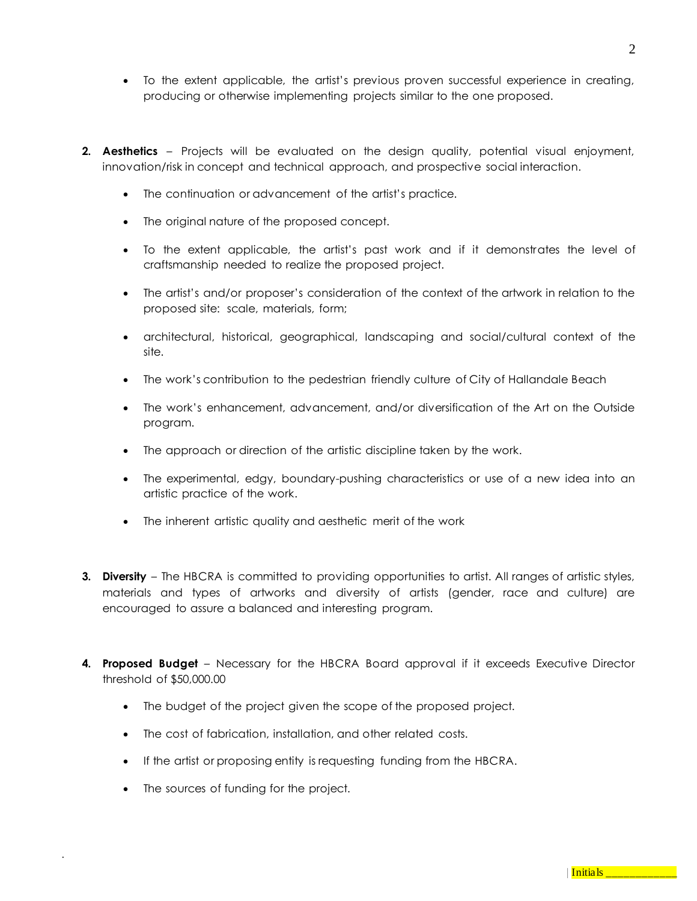- To the extent applicable, the artist's previous proven successful experience in creating, producing or otherwise implementing projects similar to the one proposed.
- **2. Aesthetics** Projects will be evaluated on the design quality, potential visual enjoyment, innovation/risk in concept and technical approach, and prospective social interaction.
	- The continuation or advancement of the artist's practice.
	- The original nature of the proposed concept.
	- To the extent applicable, the artist's past work and if it demonstrates the level of craftsmanship needed to realize the proposed project.
	- The artist's and/or proposer's consideration of the context of the artwork in relation to the proposed site: scale, materials, form;
	- architectural, historical, geographical, landscaping and social/cultural context of the site.
	- The work's contribution to the pedestrian friendly culture of City of Hallandale Beach
	- The work's enhancement, advancement, and/or diversification of the Art on the Outside program.
	- The approach or direction of the artistic discipline taken by the work.
	- The experimental, edgy, boundary-pushing characteristics or use of a new idea into an artistic practice of the work.
	- The inherent artistic quality and aesthetic merit of the work
- **3. Diversity** The HBCRA is committed to providing opportunities to artist. All ranges of artistic styles, materials and types of artworks and diversity of artists (gender, race and culture) are encouraged to assure a balanced and interesting program.
- **4. Proposed Budget** Necessary for the HBCRA Board approval if it exceeds Executive Director threshold of \$50,000.00
	- The budget of the project given the scope of the proposed project.
	- The cost of fabrication, installation, and other related costs.
	- If the artist or proposing entity is requesting funding from the HBCRA.
	- The sources of funding for the project.

.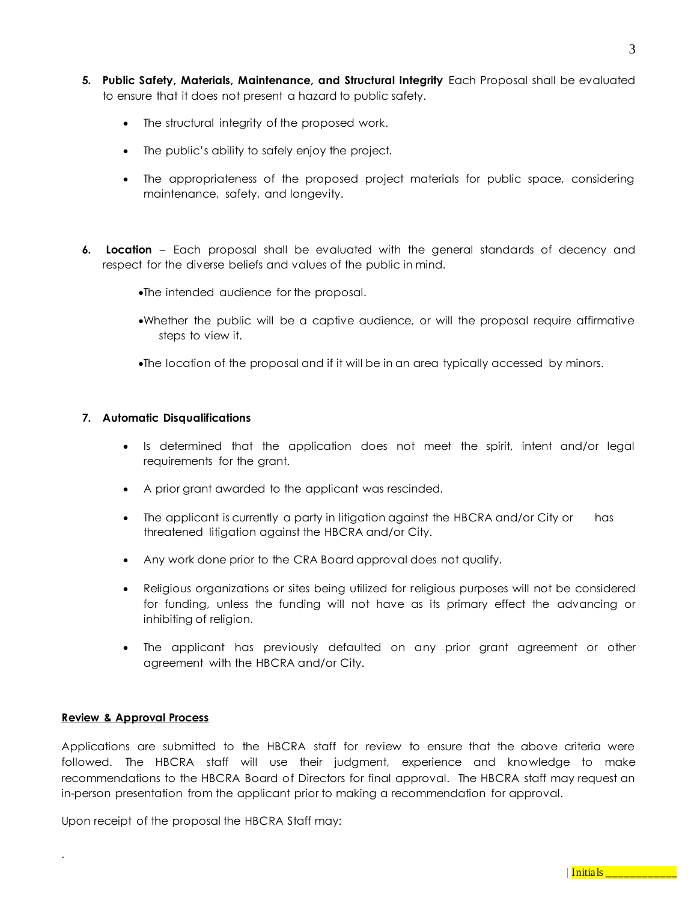- **5. Public Safety, Materials, Maintenance, and Structural Integrity** Each Proposal shall be evaluated to ensure that it does not present a hazard to public safety.
	- The structural integrity of the proposed work.
	- The public's ability to safely enjoy the project.
	- The appropriateness of the proposed project materials for public space, considering maintenance, safety, and longevity.
- **6. Location**  Each proposal shall be evaluated with the general standards of decency and respect for the diverse beliefs and values of the public in mind.
	- •The intended audience for the proposal.
	- •Whether the public will be a captive audience, or will the proposal require affirmative steps to view it.
	- •The location of the proposal and if it will be in an area typically accessed by minors.

### **7. Automatic Disqualifications**

- Is determined that the application does not meet the spirit, intent and/or legal requirements for the grant.
- A prior grant awarded to the applicant was rescinded.
- The applicant is currently a party in litigation against the HBCRA and/or City or has threatened litigation against the HBCRA and/or City.
- Any work done prior to the CRA Board approval does not qualify.
- Religious organizations or sites being utilized for religious purposes will not be considered for funding, unless the funding will not have as its primary effect the advancing or inhibiting of religion.
- The applicant has previously defaulted on any prior grant agreement or other agreement with the HBCRA and/or City.

#### **Review & Approval Process**

.

Applications are submitted to the HBCRA staff for review to ensure that the above criteria were followed. The HBCRA staff will use their judgment, experience and knowledge to make recommendations to the HBCRA Board of Directors for final approval. The HBCRA staff may request an in-person presentation from the applicant prior to making a recommendation for approval.

Upon receipt of the proposal the HBCRA Staff may: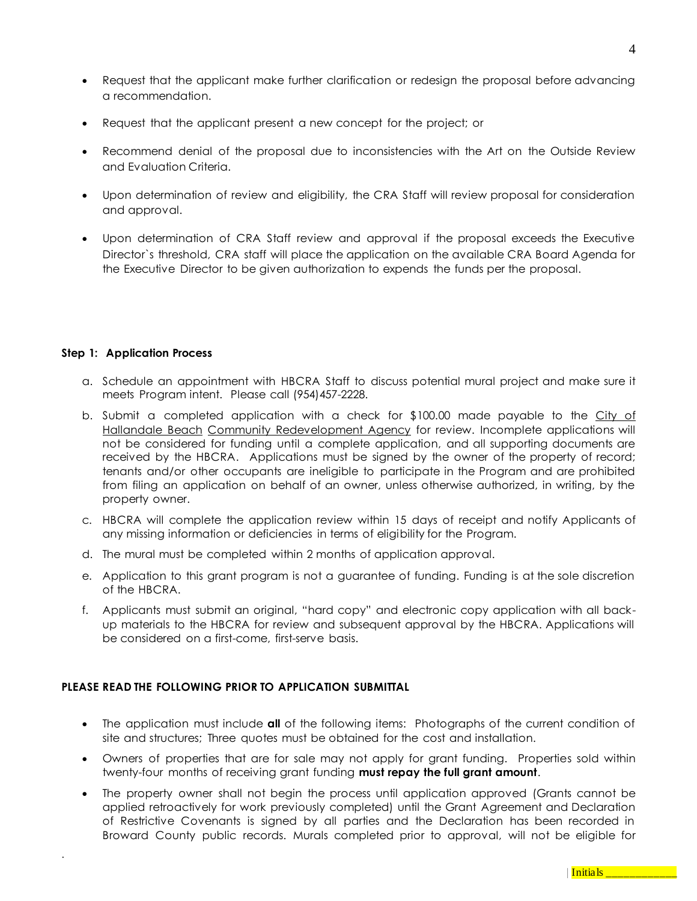- Request that the applicant make further clarification or redesign the proposal before advancing a recommendation.
- Request that the applicant present a new concept for the project; or
- Recommend denial of the proposal due to inconsistencies with the Art on the Outside Review and Evaluation Criteria.
- Upon determination of review and eligibility, the CRA Staff will review proposal for consideration and approval.
- Upon determination of CRA Staff review and approval if the proposal exceeds the Executive Director`s threshold, CRA staff will place the application on the available CRA Board Agenda for the Executive Director to be given authorization to expends the funds per the proposal.

### **Step 1: Application Process**

.

- a. Schedule an appointment with HBCRA Staff to discuss potential mural project and make sure it meets Program intent. Please call (954)457-2228.
- b. Submit a completed application with a check for \$100.00 made payable to the City of Hallandale Beach Community Redevelopment Agency for review. Incomplete applications will not be considered for funding until a complete application, and all supporting documents are received by the HBCRA. Applications must be signed by the owner of the property of record; tenants and/or other occupants are ineligible to participate in the Program and are prohibited from filing an application on behalf of an owner, unless otherwise authorized, in writing, by the property owner.
- c. HBCRA will complete the application review within 15 days of receipt and notify Applicants of any missing information or deficiencies in terms of eligibility for the Program.
- d. The mural must be completed within 2 months of application approval.
- e. Application to this grant program is not a guarantee of funding. Funding is at the sole discretion of the HBCRA.
- f. Applicants must submit an original, "hard copy" and electronic copy application with all backup materials to the HBCRA for review and subsequent approval by the HBCRA. Applications will be considered on a first-come, first-serve basis.

# PLEASE READ THE FOLLOWING PRIOR TO APPLICATION SUBMITTAL

- The application must include **all** of the following items: Photographs of the current condition of site and structures; Three quotes must be obtained for the cost and installation.
- Owners of properties that are for sale may not apply for grant funding. Properties sold within twenty-four months of receiving grant funding **must repay the full grant amount**.
- The property owner shall not begin the process until application approved (Grants cannot be applied retroactively for work previously completed) until the Grant Agreement and Declaration of Restrictive Covenants is signed by all parties and the Declaration has been recorded in Broward County public records. Murals completed prior to approval, will not be eligible for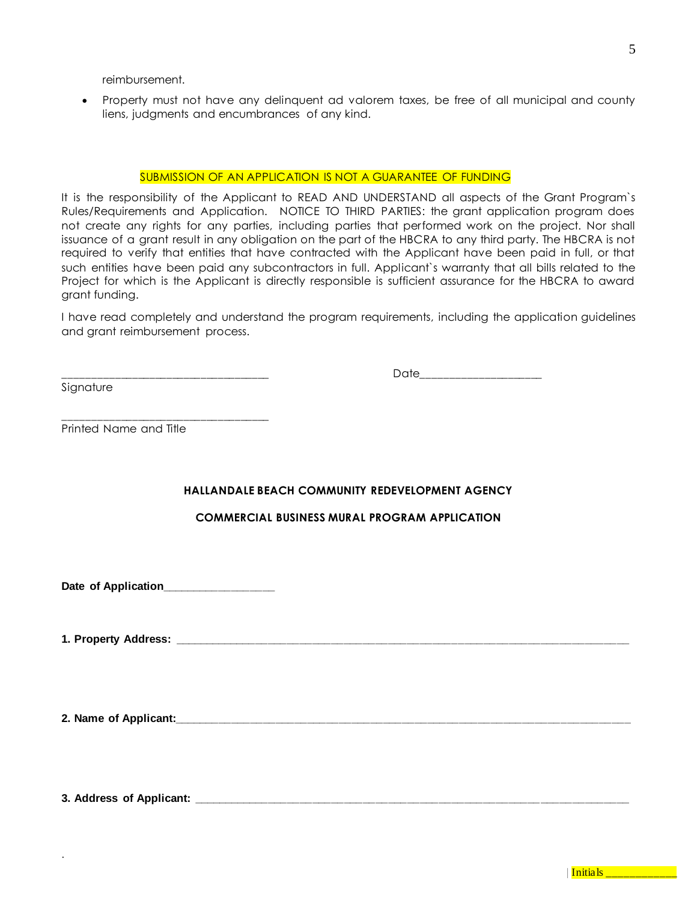reimbursement.

• Property must not have any delinquent ad valorem taxes, be free of all municipal and county liens, judgments and encumbrances of any kind.

#### SUBMISSION OF AN APPLICATION IS NOT A GUARANTEE OF FUNDING

It is the responsibility of the Applicant to READ AND UNDERSTAND all aspects of the Grant Program`s Rules/Requirements and Application. NOTICE TO THIRD PARTIES: the grant application program does not create any rights for any parties, including parties that performed work on the project. Nor shall issuance of a grant result in any obligation on the part of the HBCRA to any third party. The HBCRA is not required to verify that entities that have contracted with the Applicant have been paid in full, or that such entities have been paid any subcontractors in full. Applicant's warranty that all bills related to the Project for which is the Applicant is directly responsible is sufficient assurance for the HBCRA to award grant funding.

I have read completely and understand the program requirements, including the application guidelines and grant reimbursement process.

Signature

\_\_\_\_\_\_\_\_\_\_\_\_\_\_\_\_\_\_\_\_\_\_\_\_\_\_\_\_\_\_\_\_\_\_\_\_ Date\_\_\_\_\_\_\_\_\_\_\_\_\_\_\_\_\_\_\_\_\_

Printed Name and Title

# **HALLANDALE BEACH COMMUNITY REDEVELOPMENT AGENCY**

**COMMERCIAL BUSINESS MURAL PROGRAM APPLICATION**

**Date of Application\_\_\_\_\_\_\_\_\_\_\_\_\_\_\_\_\_\_**

\_\_\_\_\_\_\_\_\_\_\_\_\_\_\_\_\_\_\_\_\_\_\_\_\_\_\_\_\_\_\_\_\_\_\_\_

**1. Property Address: \_\_\_\_\_\_\_\_\_\_\_\_\_\_\_\_\_\_\_\_\_\_\_\_\_\_\_\_\_\_\_\_\_\_\_\_\_\_\_\_\_\_\_\_\_\_\_\_\_\_\_\_\_\_\_\_\_\_\_\_\_\_\_\_\_\_\_\_\_\_\_\_**

**2. Name of Applicant:\_\_\_\_\_\_\_\_\_\_\_\_\_\_\_\_\_\_\_\_\_\_\_\_\_\_\_\_\_\_\_\_\_\_\_\_\_\_\_\_\_\_\_\_\_\_\_\_\_\_\_\_\_\_\_\_\_\_\_\_\_\_\_\_\_\_\_\_\_\_\_\_**

**3. Address of Applicant: \_\_\_\_\_\_\_\_\_\_\_\_\_\_\_\_\_\_\_\_\_\_\_\_\_\_\_\_\_\_\_\_\_\_\_\_\_\_\_\_\_\_\_\_\_\_\_\_\_\_\_\_\_\_\_\_\_\_\_\_\_\_\_\_\_\_\_\_\_**

.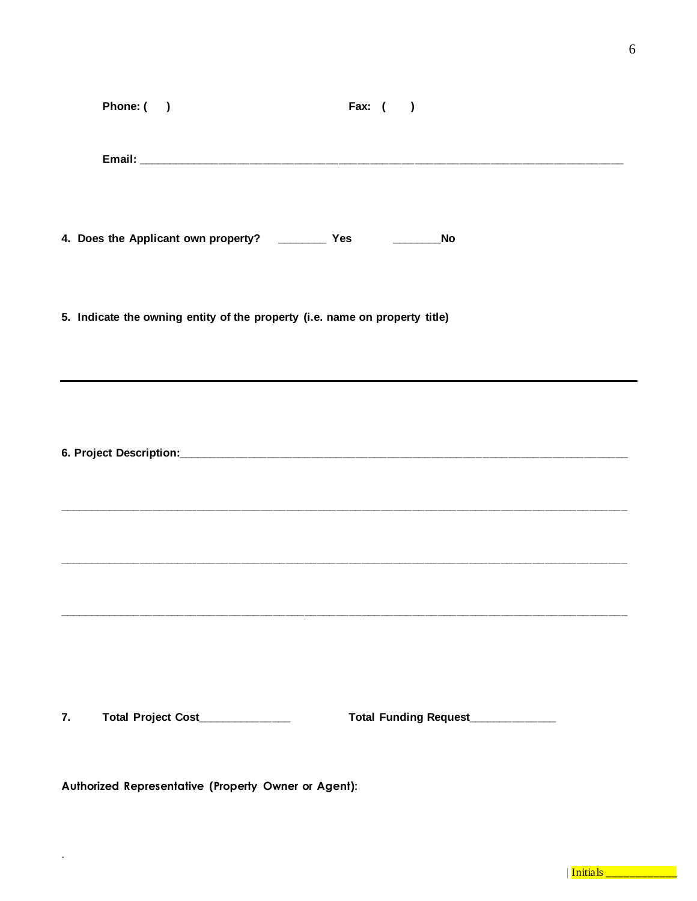|    | Phone: ()                                            |                                                                             | Fax: $($<br>$\rightarrow$        |  |  |  |  |  |  |
|----|------------------------------------------------------|-----------------------------------------------------------------------------|----------------------------------|--|--|--|--|--|--|
|    |                                                      |                                                                             |                                  |  |  |  |  |  |  |
|    |                                                      |                                                                             | No                               |  |  |  |  |  |  |
|    |                                                      | 5. Indicate the owning entity of the property (i.e. name on property title) |                                  |  |  |  |  |  |  |
|    |                                                      |                                                                             |                                  |  |  |  |  |  |  |
|    |                                                      |                                                                             |                                  |  |  |  |  |  |  |
| 7. |                                                      | Total Project Cost____________                                              | Total Funding Request___________ |  |  |  |  |  |  |
|    | Authorized Representative (Property Owner or Agent): |                                                                             |                                  |  |  |  |  |  |  |

 $\mathcal{L}_{\text{max}}$